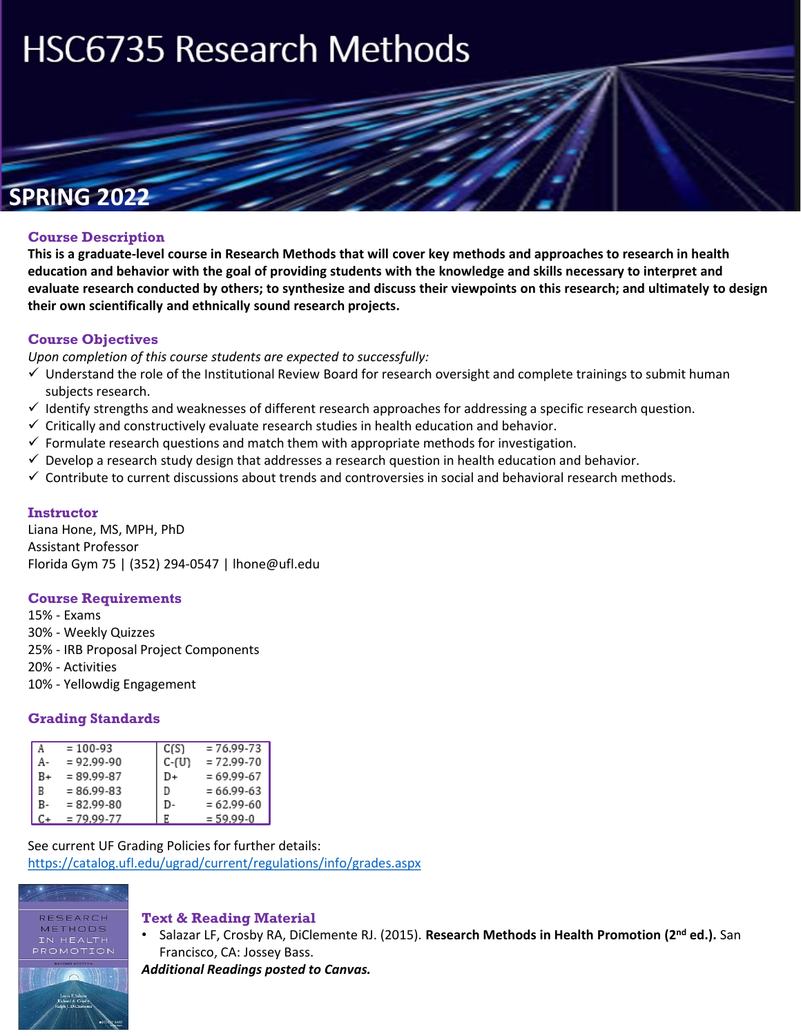# **HSC6735 Research Methods**

**Research Methods** 

# **SPRING 2022**

#### **Course Description**

**This is a graduate-level course in Research Methods that will cover key methods and approaches to research in health education and behavior with the goal of providing students with the knowledge and skills necessary to interpret and evaluate research conducted by others; to synthesize and discuss their viewpoints on this research; and ultimately to design their own scientifically and ethnically sound research projects.** 

#### **Course Objectives**

*Upon completion of this course students are expected to successfully:* 

- $\checkmark$  Understand the role of the Institutional Review Board for research oversight and complete trainings to submit human subjects research.
- $\checkmark$  Identify strengths and weaknesses of different research approaches for addressing a specific research question.
- $\checkmark$  Critically and constructively evaluate research studies in health education and behavior.
- $\checkmark$  Formulate research questions and match them with appropriate methods for investigation.
- $\checkmark$  Develop a research study design that addresses a research question in health education and behavior.
- $\checkmark$  Contribute to current discussions about trends and controversies in social and behavioral research methods.

#### **Instructor**

Liana Hone, MS, MPH, PhD Assistant Professor Florida Gym 75 | (352) 294-0547 | lhone@ufl.edu

#### **Course Requirements**

15% - Exams 30% - Weekly Quizzes 25% - IRB Proposal Project Components

- 20% Activities
- 10% Yellowdig Engagement

#### **Grading Standards**

| A  | $= 100 - 93$   | C(S)  | $= 76.99 - 73$ |
|----|----------------|-------|----------------|
| А- | $= 92.99 - 90$ | C-(U) | $= 72.99 - 70$ |
| B+ | $= 89.99 - 87$ | D+    | $= 69.99 - 67$ |
| R  | $= 86.99 - 83$ | D     | $= 66.99 - 63$ |
| B- | $= 82.99 - 80$ | D-    | $= 62.99 - 60$ |
| C+ | $= 79.99 - 77$ | F     | $= 59.99 - 0$  |

See current UF Grading Policies for further details: <https://catalog.ufl.edu/ugrad/current/regulations/info/grades.aspx>



#### **Text & Reading Material**

• Salazar LF, Crosby RA, DiClemente RJ. (2015). **Research Methods in Health Promotion (2nd ed.).** San Francisco, CA: Jossey Bass.

*Additional Readings posted to Canvas.*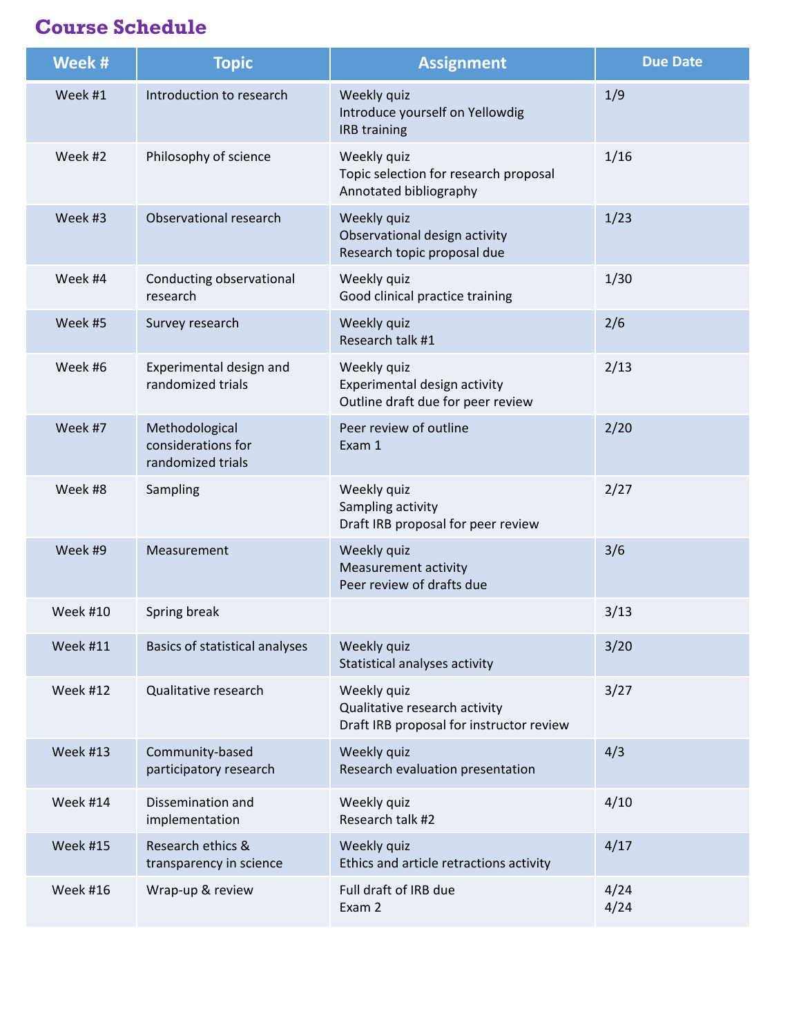# **Course Schedule**

| Week #          | <b>Topic</b>                                              | <b>Assignment</b>                                                                        | <b>Due Date</b> |
|-----------------|-----------------------------------------------------------|------------------------------------------------------------------------------------------|-----------------|
| Week #1         | Introduction to research                                  | Weekly quiz<br>Introduce yourself on Yellowdig<br>IRB training                           | 1/9             |
| Week #2         | Philosophy of science                                     | Weekly quiz<br>Topic selection for research proposal<br>Annotated bibliography           | 1/16            |
| Week #3         | Observational research                                    | Weekly quiz<br>Observational design activity<br>Research topic proposal due              | 1/23            |
| Week #4         | Conducting observational<br>research                      | Weekly quiz<br>Good clinical practice training                                           | 1/30            |
| Week #5         | Survey research                                           | Weekly quiz<br>Research talk #1                                                          | 2/6             |
| Week #6         | Experimental design and<br>randomized trials              | Weekly quiz<br>Experimental design activity<br>Outline draft due for peer review         | 2/13            |
| Week #7         | Methodological<br>considerations for<br>randomized trials | Peer review of outline<br>Exam 1                                                         | 2/20            |
| Week #8         | Sampling                                                  | Weekly quiz<br>Sampling activity<br>Draft IRB proposal for peer review                   | 2/27            |
| Week #9         | Measurement                                               | Weekly quiz<br><b>Measurement activity</b><br>Peer review of drafts due                  | 3/6             |
| <b>Week #10</b> | Spring break                                              |                                                                                          | 3/13            |
| Week #11        | Basics of statistical analyses                            | Weekly quiz<br>Statistical analyses activity                                             | 3/20            |
| Week #12        | Qualitative research                                      | Weekly quiz<br>Qualitative research activity<br>Draft IRB proposal for instructor review | 3/27            |
| Week #13        | Community-based<br>participatory research                 | Weekly quiz<br>Research evaluation presentation                                          | 4/3             |
| Week #14        | Dissemination and<br>implementation                       | Weekly quiz<br>Research talk #2                                                          | 4/10            |
| <b>Week #15</b> | Research ethics &<br>transparency in science              | Weekly quiz<br>Ethics and article retractions activity                                   | 4/17            |
| Week #16        | Wrap-up & review                                          | Full draft of IRB due<br>Exam 2                                                          | 4/24<br>4/24    |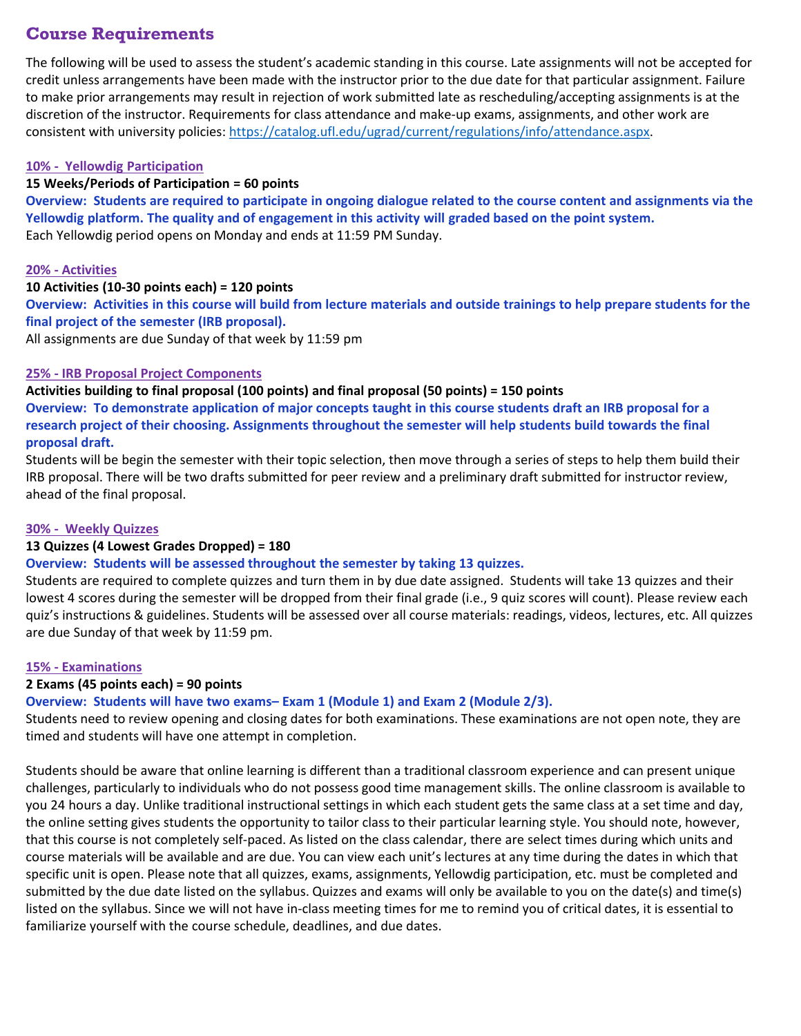### **Course Requirements**

The following will be used to assess the student's academic standing in this course. Late assignments will not be accepted for credit unless arrangements have been made with the instructor prior to the due date for that particular assignment. Failure to make prior arrangements may result in rejection of work submitted late as rescheduling/accepting assignments is at the discretion of the instructor. Requirements for class attendance and make-up exams, assignments, and other work are consistent with university policies: [https://catalog.ufl.edu/ugrad/current/regulations/info/attendance.aspx.](https://catalog.ufl.edu/ugrad/current/regulations/info/attendance.aspx)

#### **10% - Yellowdig Participation**

#### **15 Weeks/Periods of Participation = 60 points**

**Overview: Students are required to participate in ongoing dialogue related to the course content and assignments via the Yellowdig platform. The quality and of engagement in this activity will graded based on the point system.** Each Yellowdig period opens on Monday and ends at 11:59 PM Sunday.

#### **20% - Activities**

#### **10 Activities (10-30 points each) = 120 points**

**Overview: Activities in this course will build from lecture materials and outside trainings to help prepare students for the final project of the semester (IRB proposal).** 

All assignments are due Sunday of that week by 11:59 pm

#### **25% - IRB Proposal Project Components**

**Activities building to final proposal (100 points) and final proposal (50 points) = 150 points** 

**Overview: To demonstrate application of major concepts taught in this course students draft an IRB proposal for a research project of their choosing. Assignments throughout the semester will help students build towards the final proposal draft.** 

Students will be begin the semester with their topic selection, then move through a series of steps to help them build their IRB proposal. There will be two drafts submitted for peer review and a preliminary draft submitted for instructor review, ahead of the final proposal.

#### **30% - Weekly Quizzes**

#### **13 Quizzes (4 Lowest Grades Dropped) = 180**

#### **Overview: Students will be assessed throughout the semester by taking 13 quizzes.**

Students are required to complete quizzes and turn them in by due date assigned. Students will take 13 quizzes and their lowest 4 scores during the semester will be dropped from their final grade (i.e., 9 quiz scores will count). Please review each quiz's instructions & guidelines. Students will be assessed over all course materials: readings, videos, lectures, etc. All quizzes are due Sunday of that week by 11:59 pm.

#### **15% - Examinations**

#### **2 Exams (45 points each) = 90 points**

**Overview: Students will have two exams– Exam 1 (Module 1) and Exam 2 (Module 2/3).** 

Students need to review opening and closing dates for both examinations. These examinations are not open note, they are timed and students will have one attempt in completion.

Students should be aware that online learning is different than a traditional classroom experience and can present unique challenges, particularly to individuals who do not possess good time management skills. The online classroom is available to you 24 hours a day. Unlike traditional instructional settings in which each student gets the same class at a set time and day, the online setting gives students the opportunity to tailor class to their particular learning style. You should note, however, that this course is not completely self-paced. As listed on the class calendar, there are select times during which units and course materials will be available and are due. You can view each unit's lectures at any time during the dates in which that specific unit is open. Please note that all quizzes, exams, assignments, Yellowdig participation, etc. must be completed and submitted by the due date listed on the syllabus. Quizzes and exams will only be available to you on the date(s) and time(s) listed on the syllabus. Since we will not have in-class meeting times for me to remind you of critical dates, it is essential to familiarize yourself with the course schedule, deadlines, and due dates.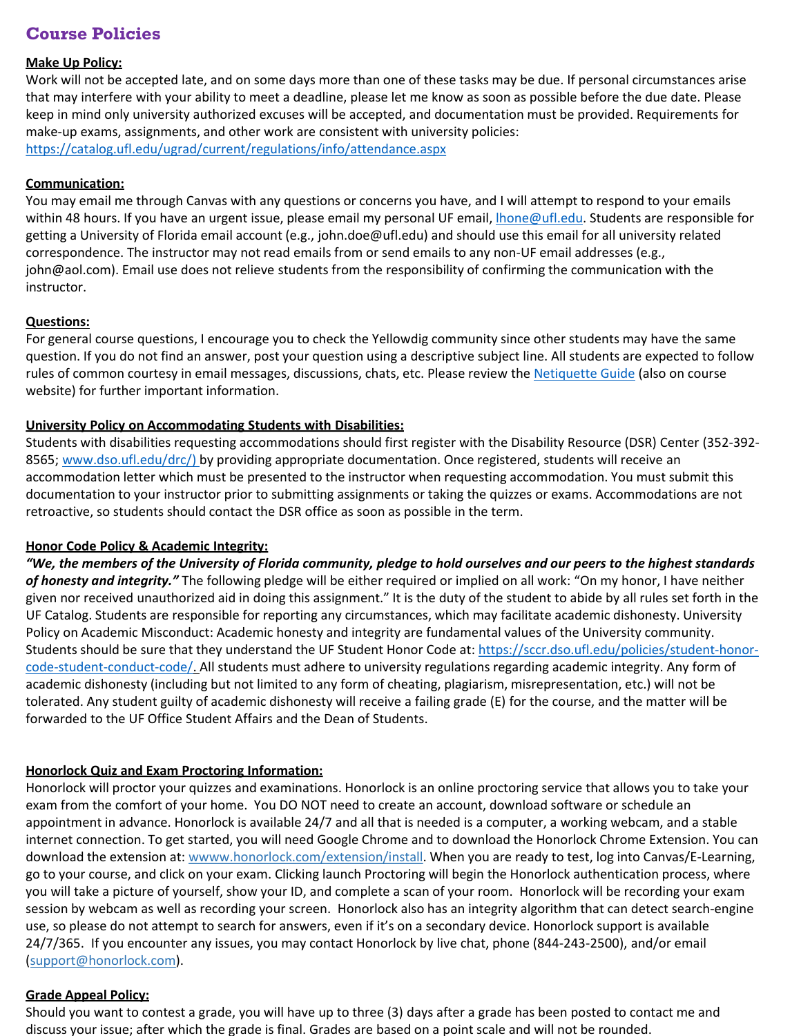## **Course Policies**

#### **Make Up Policy:**

Work will not be accepted late, and on some days more than one of these tasks may be due. If personal circumstances arise that may interfere with your ability to meet a deadline, please let me know as soon as possible before the due date. Please keep in mind only university authorized excuses will be accepted, and documentation must be provided. Requirements for make-up exams, assignments, and other work are consistent with university policies: <https://catalog.ufl.edu/ugrad/current/regulations/info/attendance.aspx>

#### **Communication:**

You may email me through Canvas with any questions or concerns you have, and I will attempt to respond to your emails within 48 hours. If you have an urgent issue, please email my personal UF email, *hone@ufl.edu*. Students are responsible for getting a University of Florida email account (e.g., john.doe@ufl.edu) and should use this email for all university related correspondence. The instructor may not read emails from or send emails to any non-UF email addresses (e.g., john@aol.com). Email use does not relieve students from the responsibility of confirming the communication with the instructor.

#### **Questions:**

For general course questions, I encourage you to check the Yellowdig community since other students may have the same question. If you do not find an answer, post your question using a descriptive subject line. All students are expected to follow rules of common courtesy in email messages, discussions, chats, etc. Please review the [Netiquette Guide](http://teach.ufl.edu/wp-content/uploads/2012/08/NetiquetteGuideforOnlineCourses.pdf) (also on course website) for further important information.

#### **University Policy on Accommodating Students with Disabilities:**

Students with disabilities requesting accommodations should first register with the Disability Resource (DSR) Center (352-392 8565; [www.dso.ufl.edu/drc/\) b](http://www.dso.ufl.edu/drc/))y providing appropriate documentation. Once registered, students will receive an accommodation letter which must be presented to the instructor when requesting accommodation. You must submit this documentation to your instructor prior to submitting assignments or taking the quizzes or exams. Accommodations are not retroactive, so students should contact the DSR office as soon as possible in the term.

#### **Honor Code Policy & Academic Integrity:**

*"We, the members of the University of Florida community, pledge to hold ourselves and our peers to the highest standards of honesty and integrity."* The following pledge will be either required or implied on all work: "On my honor, I have neither given nor received unauthorized aid in doing this assignment." It is the duty of the student to abide by all rules set forth in the UF Catalog. Students are responsible for reporting any circumstances, which may facilitate academic dishonesty. University Policy on Academic Misconduct: Academic honesty and integrity are fundamental values of the University community. [Students should be sure that they understand the UF Student Honor Code at: https://sccr.dso.ufl.edu/policies/student-honor](https://sccr.dso.ufl.edu/policies/student-honor-code-student-conduct-code/)code-student-conduct-code/. All students must adhere to university regulations regarding academic integrity. Any form of academic dishonesty (including but not limited to any form of cheating, plagiarism, misrepresentation, etc.) will not be tolerated. Any student guilty of academic dishonesty will receive a failing grade (E) for the course, and the matter will be forwarded to the UF Office Student Affairs and the Dean of Students.

#### **Honorlock Quiz and Exam Proctoring Information:**

Honorlock will proctor your quizzes and examinations. Honorlock is an online proctoring service that allows you to take your exam from the comfort of your home. You DO NOT need to create an account, download software or schedule an appointment in advance. Honorlock is available 24/7 and all that is needed is a computer, a working webcam, and a stable internet connection. To get started, you will need Google Chrome and to download the Honorlock Chrome Extension. You can download the extension at: wwww.honorlock.com/extension/install. When you are ready to test, log into Canvas/E-Learning, go to your course, and click on your exam. Clicking launch Proctoring will begin the Honorlock authentication process, where you will take a picture of yourself, show your ID, and complete a scan of your room. Honorlock will be recording your exam session by webcam as well as recording your screen. Honorlock also has an integrity algorithm that can detect search-engine use, so please do not attempt to search for answers, even if it's on a secondary device. Honorlock support is available 24/7/365. If you encounter any issues, you may contact Honorlock by live chat, phone (844-243-2500), and/or email (support@honorlock.com).

#### **Grade Appeal Policy:**

Should you want to contest a grade, you will have up to three (3) days after a grade has been posted to contact me and discuss your issue; after which the grade is final. Grades are based on a point scale and will not be rounded.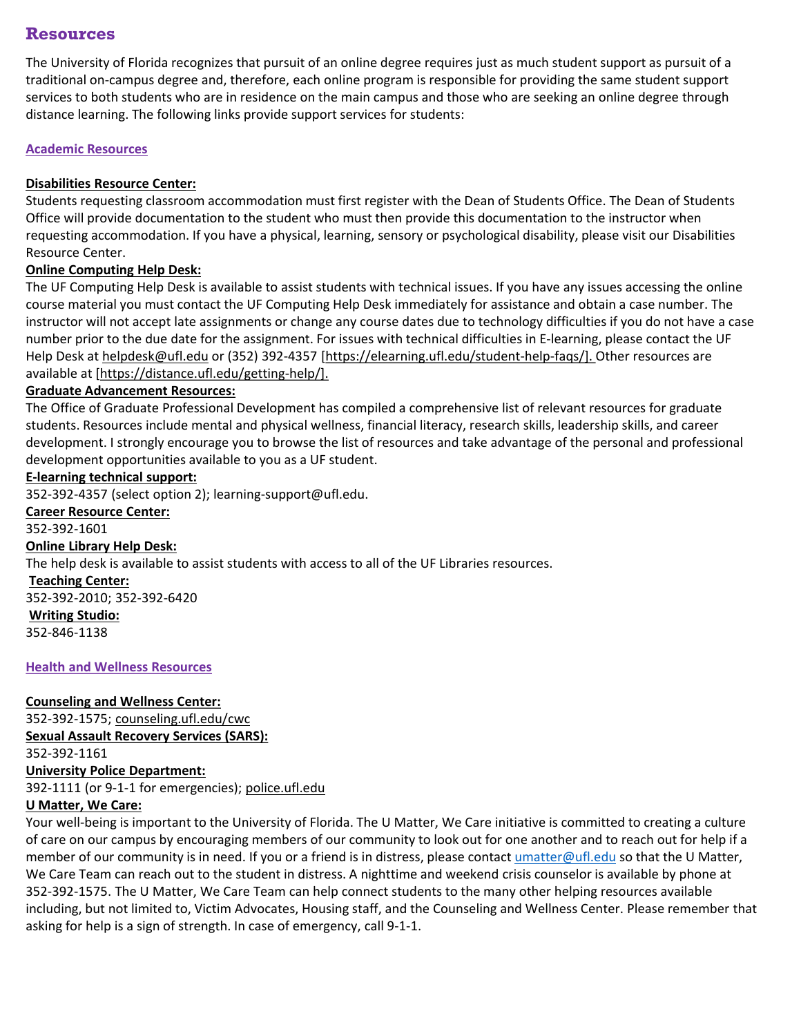#### **Resources**

The University of Florida recognizes that pursuit of an online degree requires just as much student support as pursuit of a traditional on-campus degree and, therefore, each online program is responsible for providing the same student support services to both students who are in residence on the main campus and those who are seeking an online degree through distance learning. The following links provide support services for students:

#### **Academic Resources**

#### **[Disabilities Resource Center:](http://www.dso.ufl.edu/drc/)**

Students requesting classroom accommodation must first register with the Dean of Students Office. The Dean of Students Office will provide documentation to the student who must then provide this documentation to the instructor when requesting accommodation. If you have a physical, learning, sensory or psychological disability, please visit our Disabilities Resource Center.

#### **[Online Computing Help Desk:](http://helpdesk.ufl.edu/)**

The UF Computing Help Desk is available to assist students with technical issues. If you have any issues accessing the online course material you must contact the UF Computing Help Desk immediately for assistance and obtain a case number. The instructor will not accept late assignments or change any course dates due to technology difficulties if you do not have a case number prior to the due date for the assignment. For issues with technical difficulties in E-learning, please contact the UF Help Desk at [helpdesk@ufl.edu](mailto:helpdesk@ufl.edu) or (352) 392-4357 [[https://elearning.ufl.edu/student-help-faqs/\].](https://elearning.ufl.edu/student-help-faqs/) Other resources are available at [\[https://distance.ufl.edu/getting-help/\].](https://distance.ufl.edu/getting-help/)

#### **[Graduate Advancement Resources:](https://gradadvance.graduateschool.ufl.edu/competencies/effectiveness-and-purpose/)**

The Office of Graduate Professional Development has compiled a comprehensive list of relevant resources for graduate students. Resources include mental and physical wellness, financial literacy, research skills, leadership skills, and career development. I strongly encourage you to browse the list of resources and take advantage of the personal and professional development opportunities available to you as a UF student.

#### **[E-learning technical support:](https://elearning.ufl.edu/)**

352-392-4357 (select option 2); learning-support@ufl.edu.

**[Career Resource Center:](https://www.crc.ufl.edu/)** 352-392-1601 **[Online Library Help Desk:](http://guides.uflib.ufl.edu/content.php?pid=86973&sid=686381)** The help desk is available to assist students with access to all of the UF Libraries resources. **[Teaching Center:](https://teachingcenter.ufl.edu/)** 352-392-2010; 352-392-6420 **[Writing Studio:](https://writing.ufl.edu/writing-studio/)** 352-846-1138

#### **Health and Wellness Resources**

#### **Counseling and Wellness Center:**

352-392-1575; [counseling.ufl.edu/cwc](http://www.counseling.ufl.edu/cwc) **Sexual Assault Recovery Services (SARS):**  352-392-1161 **University Police Department:** 392-1111 (or 9-1-1 for emergencies); [police.ufl.edu](http://www.police.ufl.edu/)

#### **U Matter, We Care:**

Your well-being is important to the University of Florida. The U Matter, We Care initiative is committed to creating a culture of care on our campus by encouraging members of our community to look out for one another and to reach out for help if a member of our community is in need. If you or a friend is in distress, please contact [umatter@ufl.edu](mailto:umatter@ufl.edu) so that the U Matter, We Care Team can reach out to the student in distress. A nighttime and weekend crisis counselor is available by phone at 352-392-1575. The U Matter, We Care Team can help connect students to the many other helping resources available including, but not limited to, Victim Advocates, Housing staff, and the Counseling and Wellness Center. Please remember that asking for help is a sign of strength. In case of emergency, call 9-1-1.